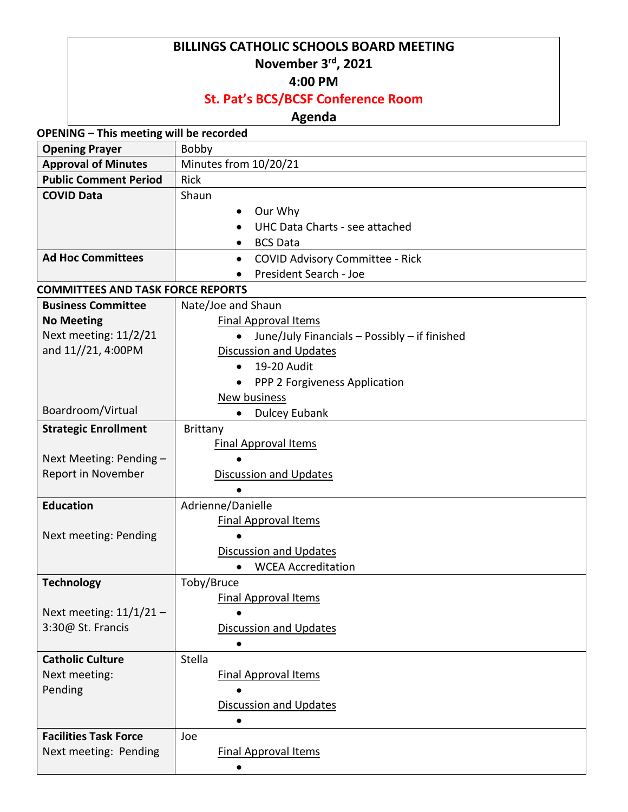#### **BILLINGS CATHOLIC SCHOOLS BOARD MEETING November 3rd, 2021**

## **4:00 PM**

### **St. Pat's BCS/BCSF Conference Room**

#### **Agenda**

**OPENING – This meeting will be recorded**

| <b>Opening Prayer</b>                    | Bobby                                                      |  |
|------------------------------------------|------------------------------------------------------------|--|
| <b>Approval of Minutes</b>               | Minutes from 10/20/21                                      |  |
| <b>Public Comment Period</b>             | Rick                                                       |  |
| <b>COVID Data</b>                        | Shaun                                                      |  |
|                                          | Our Why                                                    |  |
|                                          | UHC Data Charts - see attached                             |  |
|                                          | <b>BCS Data</b><br>$\bullet$                               |  |
| <b>Ad Hoc Committees</b>                 | <b>COVID Advisory Committee - Rick</b><br>$\bullet$        |  |
|                                          | President Search - Joe                                     |  |
| <b>COMMITTEES AND TASK FORCE REPORTS</b> |                                                            |  |
| <b>Business Committee</b>                | Nate/Joe and Shaun                                         |  |
| <b>No Meeting</b>                        | <b>Final Approval Items</b>                                |  |
| Next meeting: 11/2/21                    | June/July Financials - Possibly - if finished<br>$\bullet$ |  |
| and 11//21, 4:00PM                       | <b>Discussion and Updates</b>                              |  |
|                                          | 19-20 Audit<br>$\bullet$                                   |  |
|                                          | PPP 2 Forgiveness Application<br>$\bullet$                 |  |
|                                          | New business                                               |  |
| Boardroom/Virtual                        | <b>Dulcey Eubank</b>                                       |  |
| <b>Strategic Enrollment</b>              | <b>Brittany</b>                                            |  |
|                                          | <b>Final Approval Items</b>                                |  |
| Next Meeting: Pending -                  |                                                            |  |
| Report in November                       | <b>Discussion and Updates</b>                              |  |
|                                          |                                                            |  |
| <b>Education</b>                         | Adrienne/Danielle                                          |  |
|                                          | <b>Final Approval Items</b>                                |  |
| Next meeting: Pending                    | $\bullet$                                                  |  |
|                                          | <b>Discussion and Updates</b>                              |  |
|                                          | <b>WCEA Accreditation</b>                                  |  |
| <b>Technology</b>                        | Toby/Bruce                                                 |  |
|                                          | <b>Final Approval Items</b>                                |  |
| Next meeting: $11/1/21$ -                |                                                            |  |
| 3:30@ St. Francis                        | <b>Discussion and Updates</b>                              |  |
|                                          | $\bullet$                                                  |  |
| <b>Catholic Culture</b>                  | Stella                                                     |  |
| Next meeting:                            | <b>Final Approval Items</b>                                |  |
| Pending                                  |                                                            |  |
|                                          | <b>Discussion and Updates</b>                              |  |
|                                          |                                                            |  |
| <b>Facilities Task Force</b>             | Joe                                                        |  |
| Next meeting: Pending                    | <b>Final Approval Items</b>                                |  |
|                                          | $\bullet$                                                  |  |